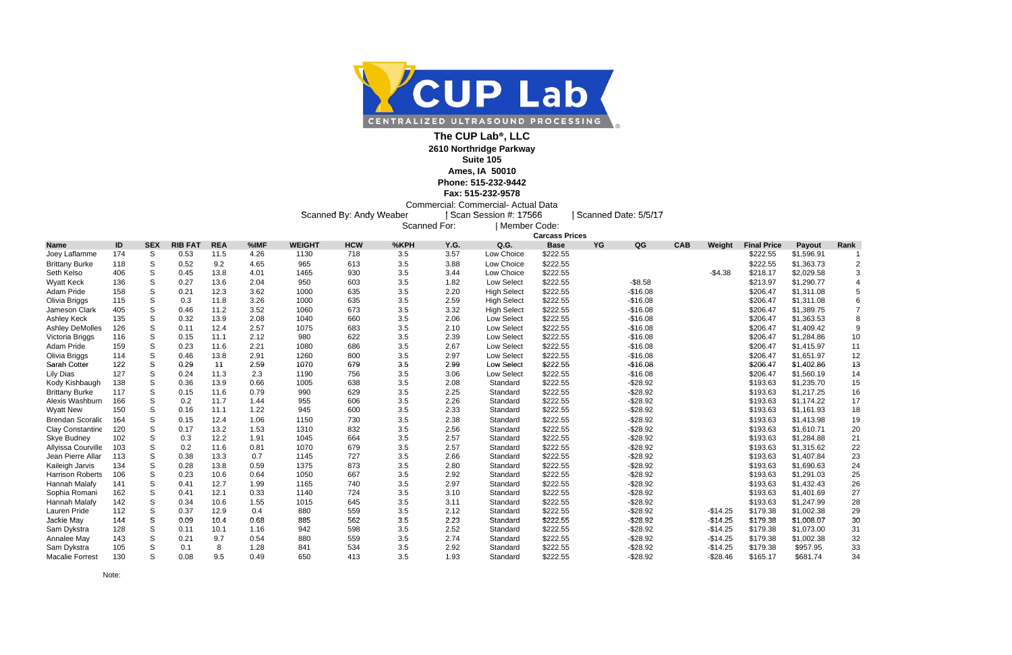## **Fax: 515-232-9578**

Commercial: Commercial- Actual Data

Scanned By: Andy Weaber | Scan Session #: 17566 | Scanned Date: 5/5/17<br>Scanned For: | Member Code:



## **The CUP Lab®, LLC**

**2610 Northridge Parkway**

## **Suite 105**

**Ames, IA 50010 Phone: 515-232-9442**

| <b>Final Price</b> | <b>Payout</b> | Rank |
|--------------------|---------------|------|
| \$222.55           | \$1,596.91    | 1    |
| \$222.55           | \$1,363.73    | 2    |
| \$218.17           | \$2,029.58    | 3    |
| \$213.97           | \$1,290.77    | 4    |
| \$206.47           | \$1,311.08    | 5    |
| \$206.47           | \$1,311.08    | 6    |
| \$206.47           | \$1,389.75    | 7    |
| \$206.47           | \$1,363.53    | 8    |
| \$206.47           | \$1,409.42    | 9    |
| \$206.47           | \$1,284.86    | 10   |
| \$206.47           | \$1,415.97    | 11   |
| \$206.47           | \$1,651.97    | 12   |
| \$206.47           | \$1,402.86    | 13   |
| \$206.47           | \$1,560.19    | 14   |
| \$193.63           | \$1,235.70    | 15   |
| \$193.63           | \$1,217.25    | 16   |
| \$193.63           | \$1,174.22    | 17   |
| \$193.63           | \$1,161.93    | 18   |
| \$193.63           | \$1,413.98    | 19   |
| \$193.63           | \$1,610.71    | 20   |
| \$193.63           | \$1,284.88    | 21   |
| \$193.63           | \$1,315.62    | 22   |
| \$193.63           | \$1,407.84    | 23   |
| \$193.63           | \$1,690.63    | 24   |
| \$193.63           | \$1,291.03    | 25   |
| \$193.63           | \$1,432.43    | 26   |
| \$193.63           | \$1,401.69    | 27   |
| \$193.63           | \$1,247.99    | 28   |
| \$179.38           | \$1,002.38    | 29   |
| \$179.38           | \$1,008.07    | 30   |
| \$179.38           | \$1,073.00    | 31   |
| \$179.38           | \$1,002.38    | 32   |
| \$179.38           | \$957.95      | 33   |
| \$165 17           | \$681 74      | 34   |

|                         |     |               |                |            |      | <b>Carcass Prices</b> |            |      |      |                    |             |            |            |           |                    |            |      |
|-------------------------|-----|---------------|----------------|------------|------|-----------------------|------------|------|------|--------------------|-------------|------------|------------|-----------|--------------------|------------|------|
| <b>Name</b>             | ID  | <b>SEX</b>    | <b>RIB FAT</b> | <b>REA</b> | %IMF | <b>WEIGHT</b>         | <b>HCW</b> | %KPH | Y.G. | Q.G.               | <b>Base</b> | QG<br>YG   | <b>CAB</b> | Weight    | <b>Final Price</b> | Payout     | Rank |
| Joey Laflamme           | 174 | S             | 0.53           | 11.5       | 4.26 | 1130                  | 718        | 3.5  | 3.57 | Low Choice         | \$222.55    |            |            |           | \$222.55           | \$1,596.91 |      |
| <b>Brittany Burke</b>   | 118 | S             | 0.52           | 9.2        | 4.65 | 965                   | 613        | 3.5  | 3.88 | Low Choice         | \$222.55    |            |            |           | \$222.55           | \$1,363.73 |      |
| Seth Kelso              | 406 | S             | 0.45           | 13.8       | 4.01 | 1465                  | 930        | 3.5  | 3.44 | Low Choice         | \$222.55    |            |            | $-$4.38$  | \$218.17           | \$2,029.58 |      |
| <b>Wyatt Keck</b>       | 136 | S             | 0.27           | 13.6       | 2.04 | 950                   | 603        | 3.5  | 1.82 | Low Select         | \$222.55    | $-$ \$8.58 |            |           | \$213.97           | \$1,290.77 |      |
| Adam Pride              | 158 | S             | 0.21           | 12.3       | 3.62 | 1000                  | 635        | 3.5  | 2.20 | <b>High Select</b> | \$222.55    | $-$16.08$  |            |           | \$206.47           | \$1,311.08 |      |
| Olivia Briggs           | 115 | S             | 0.3            | 11.8       | 3.26 | 1000                  | 635        | 3.5  | 2.59 | <b>High Select</b> | \$222.55    | $-$16.08$  |            |           | \$206.47           | \$1,311.08 |      |
| Jameson Clark           | 405 | S             | 0.46           | 11.2       | 3.52 | 1060                  | 673        | 3.5  | 3.32 | <b>High Select</b> | \$222.55    | $-$16.08$  |            |           | \$206.47           | \$1,389.75 |      |
| Ashley Keck             | 135 | S             | 0.32           | 13.9       | 2.08 | 1040                  | 660        | 3.5  | 2.06 | Low Select         | \$222.55    | $-$16.08$  |            |           | \$206.47           | \$1,363.53 |      |
| <b>Ashley DeMolles</b>  | 126 | S             | 0.11           | 12.4       | 2.57 | 1075                  | 683        | 3.5  | 2.10 | Low Select         | \$222.55    | $-$16.08$  |            |           | \$206.47           | \$1,409.42 |      |
| Victoria Briggs         | 116 | ${\mathsf S}$ | 0.15           | 11.1       | 2.12 | 980                   | 622        | 3.5  | 2.39 | Low Select         | \$222.55    | $-$16.08$  |            |           | \$206.47           | \$1,284.86 | 10   |
| Adam Pride              | 159 | ${\mathsf S}$ | 0.23           | 11.6       | 2.21 | 1080                  | 686        | 3.5  | 2.67 | Low Select         | \$222.55    | $-$16.08$  |            |           | \$206.47           | \$1,415.97 | 11   |
| Olivia Briggs           | 114 | S             | 0.46           | 13.8       | 2.91 | 1260                  | 800        | 3.5  | 2.97 | Low Select         | \$222.55    | $-$16.08$  |            |           | \$206.47           | \$1,651.97 | 12   |
| Sarah Cotter            | 122 | S             | 0.29           | 11         | 2.59 | 1070                  | 679        | 3.5  | 2.99 | Low Select         | \$222.55    | $-$16.08$  |            |           | \$206.47           | \$1,402.86 | 13   |
| <b>Lily Dias</b>        | 127 | S             | 0.24           | 11.3       | 2.3  | 1190                  | 756        | 3.5  | 3.06 | Low Select         | \$222.55    | $-$16.08$  |            |           | \$206.47           | \$1,560.19 | 14   |
| Kody Kishbaugh          | 138 | S             | 0.36           | 13.9       | 0.66 | 1005                  | 638        | 3.5  | 2.08 | Standard           | \$222.55    | $-$28.92$  |            |           | \$193.63           | \$1,235.70 | 15   |
| <b>Brittany Burke</b>   | 117 | S             | 0.15           | 11.6       | 0.79 | 990                   | 629        | 3.5  | 2.25 | Standard           | \$222.55    | $-$28.92$  |            |           | \$193.63           | \$1,217.25 | 16   |
| Alexis Washburn         | 166 | S             | 0.2            | 11.7       | 1.44 | 955                   | 606        | 3.5  | 2.26 | Standard           | \$222.55    | $-$28.92$  |            |           | \$193.63           | \$1,174.22 | 17   |
| <b>Wyatt New</b>        | 150 | S             | 0.16           | 11.1       | 1.22 | 945                   | 600        | 3.5  | 2.33 | Standard           | \$222.55    | $-$28.92$  |            |           | \$193.63           | \$1,161.93 | 18   |
| <b>Brendan Scoralio</b> | 164 | S             | 0.15           | 12.4       | 1.06 | 1150                  | 730        | 3.5  | 2.38 | Standard           | \$222.55    | $-$28.92$  |            |           | \$193.63           | \$1,413.98 | 19   |
| Clay Constantine        | 120 | S             | 0.17           | 13.2       | 1.53 | 1310                  | 832        | 3.5  | 2.56 | Standard           | \$222.55    | $-$28.92$  |            |           | \$193.63           | \$1,610.71 | 20   |
| Skye Budney             | 102 | S             | 0.3            | 12.2       | 1.91 | 1045                  | 664        | 3.5  | 2.57 | Standard           | \$222.55    | $-$28.92$  |            |           | \$193.63           | \$1,284.88 | 21   |
| Allyissa Courville      | 103 | S             | 0.2            | 11.6       | 0.81 | 1070                  | 679        | 3.5  | 2.57 | Standard           | \$222.55    | $-$28.92$  |            |           | \$193.63           | \$1,315.62 | 22   |
| Jean Pierre Allar       | 113 | S             | 0.38           | 13.3       | 0.7  | 1145                  | 727        | 3.5  | 2.66 | Standard           | \$222.55    | $-$28.92$  |            |           | \$193.63           | \$1,407.84 | 23   |
| Kaileigh Jarvis         | 134 | S             | 0.28           | 13.8       | 0.59 | 1375                  | 873        | 3.5  | 2.80 | Standard           | \$222.55    | $-$28.92$  |            |           | \$193.63           | \$1,690.63 | 24   |
| <b>Harrison Roberts</b> | 106 | S             | 0.23           | 10.6       | 0.64 | 1050                  | 667        | 3.5  | 2.92 | Standard           | \$222.55    | $-$28.92$  |            |           | \$193.63           | \$1,291.03 | 25   |
| Hannah Malafy           | 141 | S             | 0.41           | 12.7       | 1.99 | 1165                  | 740        | 3.5  | 2.97 | Standard           | \$222.55    | $-$28.92$  |            |           | \$193.63           | \$1,432.43 | 26   |
| Sophia Romani           | 162 | S             | 0.41           | 12.1       | 0.33 | 1140                  | 724        | 3.5  | 3.10 | Standard           | \$222.55    | $-$28.92$  |            |           | \$193.63           | \$1,401.69 | 27   |
| Hannah Malafy           | 142 | S             | 0.34           | 10.6       | 1.55 | 1015                  | 645        | 3.5  | 3.11 | Standard           | \$222.55    | $-$28.92$  |            |           | \$193.63           | \$1,247.99 | 28   |
| Lauren Pride            | 112 | S             | 0.37           | 12.9       | 0.4  | 880                   | 559        | 3.5  | 2.12 | Standard           | \$222.55    | $-$28.92$  |            | $-$14.25$ | \$179.38           | \$1,002.38 | 29   |
| Jackie May              | 144 | S             | 0.09           | 10.4       | 0.68 | 885                   | 562        | 3.5  | 2.23 | Standard           | \$222.55    | $-$28.92$  |            | $-$14.25$ | \$179.38           | \$1,008.07 | 30   |
| Sam Dykstra             | 128 | S             | 0.11           | 10.1       | 1.16 | 942                   | 598        | 3.5  | 2.52 | Standard           | \$222.55    | $-$28.92$  |            | $-$14.25$ | \$179.38           | \$1,073.00 | 31   |
| Annalee May             | 143 | S             | 0.21           | 9.7        | 0.54 | 880                   | 559        | 3.5  | 2.74 | Standard           | \$222.55    | $-$28.92$  |            | $-$14.25$ | \$179.38           | \$1,002.38 | 32   |
| Sam Dykstra             | 105 | S             | 0.1            | 8          | 1.28 | 841                   | 534        | 3.5  | 2.92 | Standard           | \$222.55    | $-$28.92$  |            | $-$14.25$ | \$179.38           | \$957.95   | 33   |
| <b>Macalie Forrest</b>  | 130 | S             | 0.08           | 9.5        | 0.49 | 650                   | 413        | 3.5  | 1.93 | Standard           | \$222.55    | $-$28.92$  |            | $-$28.46$ | \$165.17           | \$681.74   | 34   |